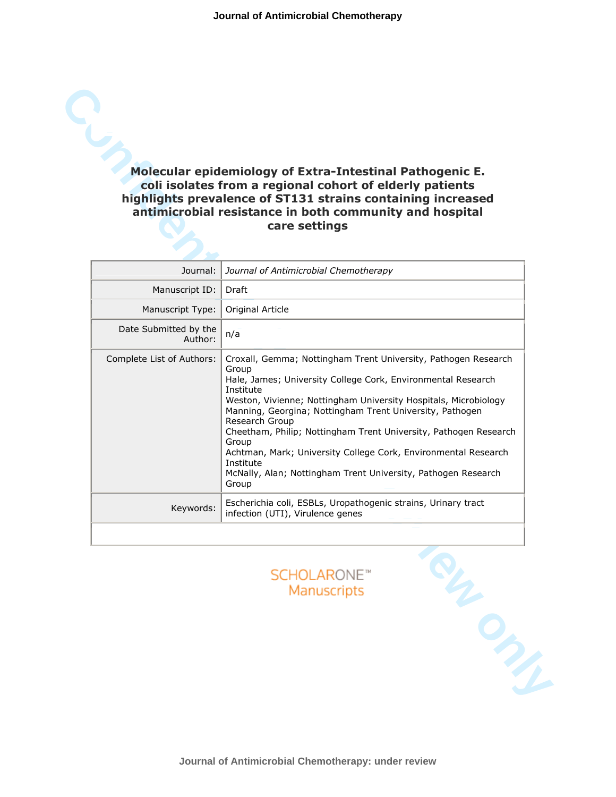# coli isolates from a regional cohort of elderly patients highlights prevalence of ST131 strains containing increased antimicrobial resistance in both community and hospital care settings

| Molecular epidemiology of Extra-Intestinal Pathogenic E.<br>coli isolates from a regional cohort of elderly patients<br>highlights prevalence of ST131 strains containing increased<br>antimicrobial resistance in both community and hospital<br>care settings |                                                                                                                                                                                                                                                                                                                                                                                                                                                                                                                                             |  |
|-----------------------------------------------------------------------------------------------------------------------------------------------------------------------------------------------------------------------------------------------------------------|---------------------------------------------------------------------------------------------------------------------------------------------------------------------------------------------------------------------------------------------------------------------------------------------------------------------------------------------------------------------------------------------------------------------------------------------------------------------------------------------------------------------------------------------|--|
| Journal:                                                                                                                                                                                                                                                        | Journal of Antimicrobial Chemotherapy                                                                                                                                                                                                                                                                                                                                                                                                                                                                                                       |  |
| Manuscript ID:                                                                                                                                                                                                                                                  | Draft                                                                                                                                                                                                                                                                                                                                                                                                                                                                                                                                       |  |
| Manuscript Type:                                                                                                                                                                                                                                                | Original Article                                                                                                                                                                                                                                                                                                                                                                                                                                                                                                                            |  |
| Date Submitted by the<br>Author:                                                                                                                                                                                                                                | n/a                                                                                                                                                                                                                                                                                                                                                                                                                                                                                                                                         |  |
| Complete List of Authors:                                                                                                                                                                                                                                       | Croxall, Gemma; Nottingham Trent University, Pathogen Research<br>Group<br>Hale, James; University College Cork, Environmental Research<br>Institute<br>Weston, Vivienne; Nottingham University Hospitals, Microbiology<br>Manning, Georgina; Nottingham Trent University, Pathogen<br>Research Group<br>Cheetham, Philip; Nottingham Trent University, Pathogen Research<br>Group<br>Achtman, Mark; University College Cork, Environmental Research<br>Institute<br>McNally, Alan; Nottingham Trent University, Pathogen Research<br>Group |  |
| Keywords:                                                                                                                                                                                                                                                       | Escherichia coli, ESBLs, Uropathogenic strains, Urinary tract<br>infection (UTI), Virulence genes                                                                                                                                                                                                                                                                                                                                                                                                                                           |  |
|                                                                                                                                                                                                                                                                 | <b>SCHOLARONE™</b><br>Manuscripts                                                                                                                                                                                                                                                                                                                                                                                                                                                                                                           |  |



**Journal of Antimicrobial Chemotherapy: under review**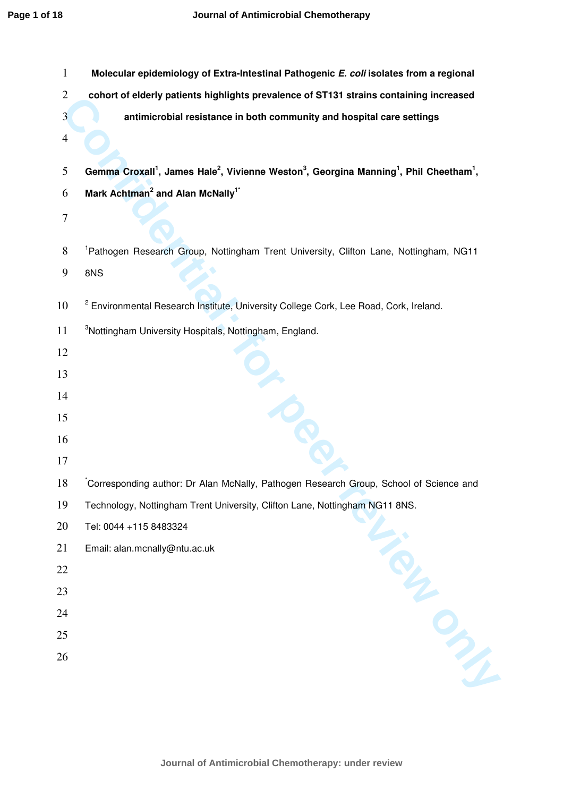| $\mathbf{1}$            | Molecular epidemiology of Extra-Intestinal Pathogenic E. coli isolates from a regional                                                             |
|-------------------------|----------------------------------------------------------------------------------------------------------------------------------------------------|
| $\overline{2}$          | cohort of elderly patients highlights prevalence of ST131 strains containing increased                                                             |
| $\overline{\mathbf{3}}$ | antimicrobial resistance in both community and hospital care settings                                                                              |
| $\overline{4}$          |                                                                                                                                                    |
| 5                       | Gemma Croxall <sup>1</sup> , James Hale <sup>2</sup> , Vivienne Weston <sup>3</sup> , Georgina Manning <sup>1</sup> , Phil Cheetham <sup>1</sup> , |
| 6                       | Mark Achtman <sup>2</sup> and Alan McNally <sup>1*</sup>                                                                                           |
| $\tau$                  |                                                                                                                                                    |
| 8                       | <sup>1</sup> Pathogen Research Group, Nottingham Trent University, Clifton Lane, Nottingham, NG11                                                  |
| 9                       | 8NS                                                                                                                                                |
| 10                      | <sup>2</sup> Environmental Research Institute, University College Cork, Lee Road, Cork, Ireland.                                                   |
| 11                      | <sup>3</sup> Nottingham University Hospitals, Nottingham, England.                                                                                 |
| 12                      |                                                                                                                                                    |
| 13                      |                                                                                                                                                    |
| 14                      |                                                                                                                                                    |
| 15                      |                                                                                                                                                    |
| 16                      |                                                                                                                                                    |
| 17                      |                                                                                                                                                    |
| 18                      | Corresponding author: Dr Alan McNally, Pathogen Research Group, School of Science and                                                              |
| 19                      | Technology, Nottingham Trent University, Clifton Lane, Nottingham NG11 8NS.                                                                        |
| 20                      | Tel: 0044 +115 8483324                                                                                                                             |
| 21                      | Email: alan.mcnally@ntu.ac.uk                                                                                                                      |
| 22                      |                                                                                                                                                    |
| 23                      |                                                                                                                                                    |
| 24                      |                                                                                                                                                    |
| 25                      |                                                                                                                                                    |
| 26                      | Filled By                                                                                                                                          |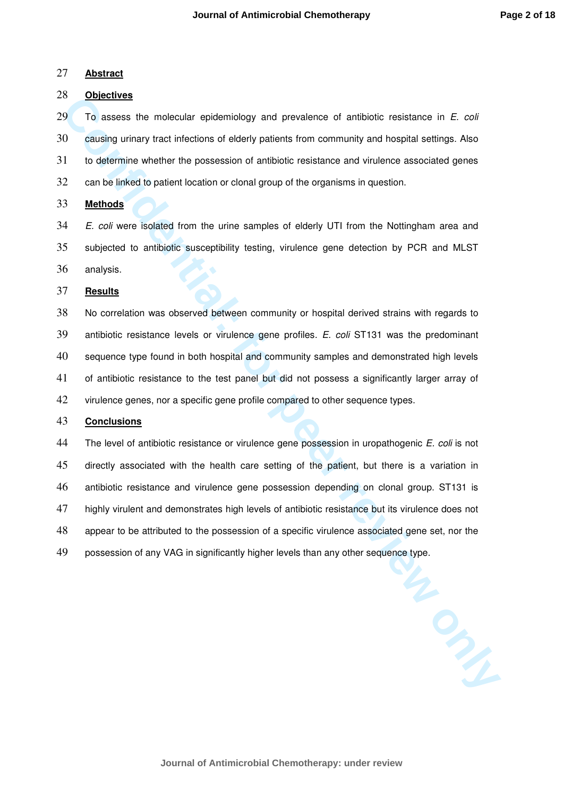#### **Abstract**

## **Objectives**

To assess the molecular epidemiology and prevalence of antibiotic resistance in E. coli causing urinary tract infections of elderly patients from community and hospital settings. Also to determine whether the possession of antibiotic resistance and virulence associated genes can be linked to patient location or clonal group of the organisms in question.

# **Methods**

34 E. coli were isolated from the urine samples of elderly UTI from the Nottingham area and subjected to antibiotic susceptibility testing, virulence gene detection by PCR and MLST analysis.

#### **Results**

No correlation was observed between community or hospital derived strains with regards to 39 antibiotic resistance levels or virulence gene profiles. E. coli ST131 was the predominant sequence type found in both hospital and community samples and demonstrated high levels of antibiotic resistance to the test panel but did not possess a significantly larger array of virulence genes, nor a specific gene profile compared to other sequence types.

# **Conclusions**

**Continuosity controllering and properties are all the matter of the matter of the properties and the matter of the matter of the matter of the matter of the definitions of elderity patients from community and hospital set** 44 The level of antibiotic resistance or virulence gene possession in uropathogenic *E. coli* is not directly associated with the health care setting of the patient, but there is a variation in antibiotic resistance and virulence gene possession depending on clonal group. ST131 is 47 highly virulent and demonstrates high levels of antibiotic resistance but its virulence does not appear to be attributed to the possession of a specific virulence associated gene set, nor the 49 possession of any VAG in significantly higher levels than any other sequence type.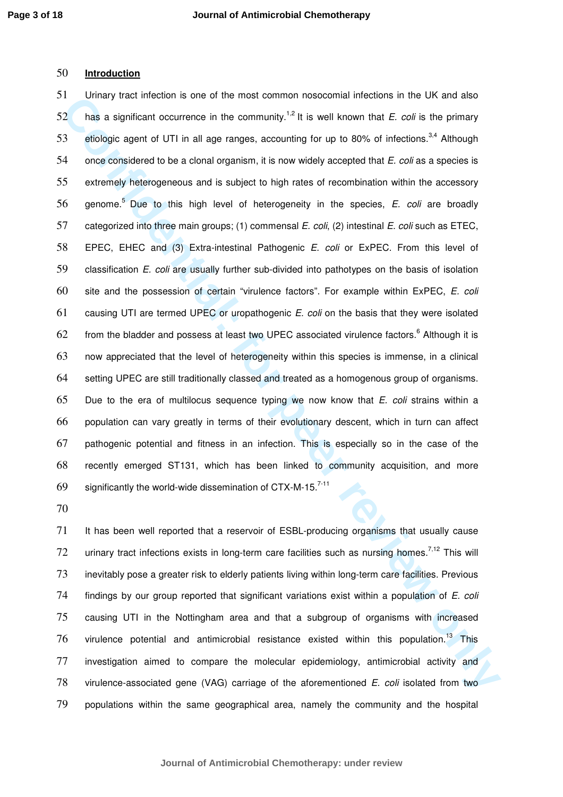# 50 **Introduction**

**Confidential and the external and for peer review only on the confidential and the extension in the unit of the state and the political and and the state and the method of the method of the primary can be a digitared to b** 51 Urinary tract infection is one of the most common nosocomial infections in the UK and also  $52$  has a significant occurrence in the community.<sup>1,2</sup> It is well known that *E. coli* is the primary 53 etiologic agent of UTI in all age ranges, accounting for up to 80% of infections.<sup>3,4</sup> Although 54 once considered to be a clonal organism, it is now widely accepted that  $E$ . coli as a species is 55 extremely heterogeneous and is subject to high rates of recombination within the accessory  $56$  genome.<sup>5</sup> Due to this high level of heterogeneity in the species, E. coli are broadly 57 categorized into three main groups; (1) commensal E. coli, (2) intestinal E. coli such as ETEC, 58 EPEC, EHEC and (3) Extra-intestinal Pathogenic E. coli or ExPEC. From this level of 59 classification E. coli are usually further sub-divided into pathotypes on the basis of isolation 60 site and the possession of certain "virulence factors". For example within ExPEC, E. coli 61 causing UTI are termed UPEC or uropathogenic  $E$ . coli on the basis that they were isolated  $62$  from the bladder and possess at least two UPEC associated virulence factors.<sup>6</sup> Although it is 63 now appreciated that the level of heterogeneity within this species is immense, in a clinical 64 setting UPEC are still traditionally classed and treated as a homogenous group of organisms. 65 Due to the era of multilocus sequence typing we now know that  $E$ . coli strains within a 66 population can vary greatly in terms of their evolutionary descent, which in turn can affect 67 pathogenic potential and fitness in an infection. This is especially so in the case of the 68 recently emerged ST131, which has been linked to community acquisition, and more 69 significantly the world-wide dissemination of CTX-M-15. $^{7-11}$ 

70

It has been well reported that a reservoir of ESBL-producing organisms that usually cause 72 urinary tract infections exists in long-term care facilities such as nursing homes.<sup>7,12</sup> This will inevitably pose a greater risk to elderly patients living within long-term care facilities. Previous 74 findings by our group reported that significant variations exist within a population of E. coli causing UTI in the Nottingham area and that a subgroup of organisms with increased virulence potential and antimicrobial resistance existed within this population.<sup>13</sup> This investigation aimed to compare the molecular epidemiology, antimicrobial activity and 78 virulence-associated gene (VAG) carriage of the aforementioned E. coli isolated from two populations within the same geographical area, namely the community and the hospital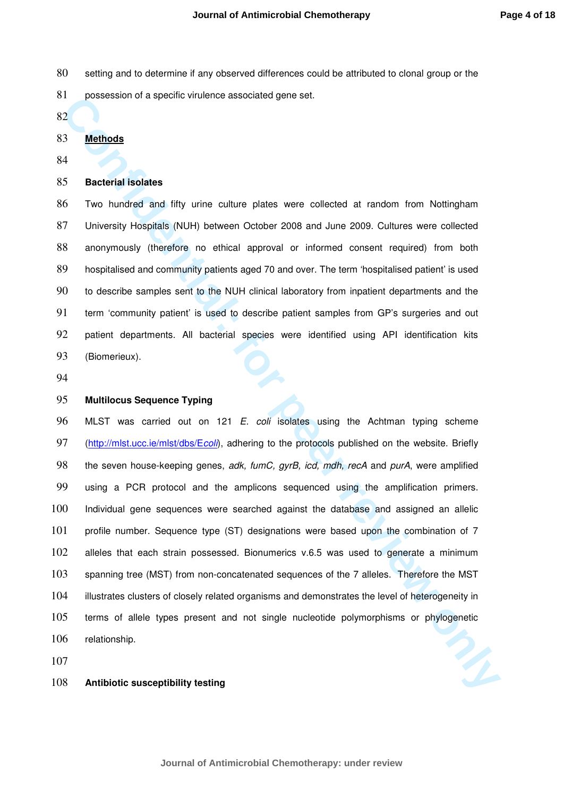- 80 setting and to determine if any observed differences could be attributed to clonal group or the
- possession of a specific virulence associated gene set.
- 

#### **Methods**

# **Bacterial isolates**

Two hundred and fifty urine culture plates were collected at random from Nottingham University Hospitals (NUH) between October 2008 and June 2009. Cultures were collected anonymously (therefore no ethical approval or informed consent required) from both hospitalised and community patients aged 70 and over. The term 'hospitalised patient' is used to describe samples sent to the NUH clinical laboratory from inpatient departments and the term 'community patient' is used to describe patient samples from GP's surgeries and out patient departments. All bacterial species were identified using API identification kits (Biomerieux).

# **Multilocus Sequence Typing**

**Confidential: Confidential: Confidential: Confidential: Confidential: Confidential: Confidential: Confidential: Confidential: Confidential: Confidential: Confidential: Confidential: Confidential:** 96 MLST was carried out on 121 E. coli isolates using the Achtman typing scheme 97 (http://mlst.ucc.ie/mlst/dbs/Ecoli), adhering to the protocols published on the website. Briefly 98 the seven house-keeping genes, adk, fumC, gyrB, icd, mdh, recA and purA, were amplified using a PCR protocol and the amplicons sequenced using the amplification primers. Individual gene sequences were searched against the database and assigned an allelic profile number. Sequence type (ST) designations were based upon the combination of 7 alleles that each strain possessed. Bionumerics v.6.5 was used to generate a minimum spanning tree (MST) from non-concatenated sequences of the 7 alleles. Therefore the MST illustrates clusters of closely related organisms and demonstrates the level of heterogeneity in terms of allele types present and not single nucleotide polymorphisms or phylogenetic relationship.

#### **Antibiotic susceptibility testing**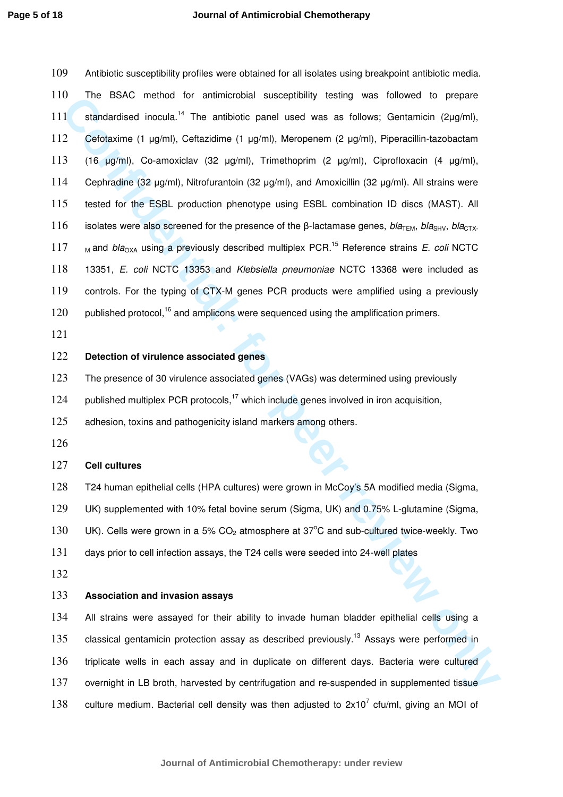The Back members for annual constant parameterization and the distinguish and the example of period of the period of the sample of the sample of the sample of the sample of the sample of the sample of the sample of the sam Antibiotic susceptibility profiles were obtained for all isolates using breakpoint antibiotic media. The BSAC method for antimicrobial susceptibility testing was followed to prepare 111 standardised inocula.<sup>14</sup> The antibiotic panel used was as follows; Gentamicin (2µg/ml), Cefotaxime (1 µg/ml), Ceftazidime (1 µg/ml), Meropenem (2 µg/ml), Piperacillin-tazobactam (16 µg/ml), Co-amoxiclav (32 µg/ml), Trimethoprim (2 µg/ml), Ciprofloxacin (4 µg/ml), 114 Cephradine (32 µg/ml), Nitrofurantoin (32 µg/ml), and Amoxicillin (32 µg/ml). All strains were tested for the ESBL production phenotype using ESBL combination ID discs (MAST). All 116 isolates were also screened for the presence of the β-lactamase genes,  $bla<sub>TFM</sub>$ ,  $bla<sub>GN</sub>$ ,  $bla<sub>CTX</sub>$ .  $\mu$  and bla<sub>OXA</sub> using a previously described multiplex PCR.<sup>15</sup> Reference strains *E. coli* NCTC 13351, E. coli NCTC 13353 and Klebsiella pneumoniae NCTC 13368 were included as controls. For the typing of CTX-M genes PCR products were amplified using a previously published protocol,<sup>16</sup> and amplicons were sequenced using the amplification primers.

## **Detection of virulence associated genes**

The presence of 30 virulence associated genes (VAGs) was determined using previously

124 published multiplex PCR protocols,<sup>17</sup> which include genes involved in iron acquisition,

125 adhesion, toxins and pathogenicity island markers among others.

## **Cell cultures**

T24 human epithelial cells (HPA cultures) were grown in McCoy's 5A modified media (Sigma,

UK) supplemented with 10% fetal bovine serum (Sigma, UK) and 0.75% L-glutamine (Sigma,

130 UK). Cells were grown in a 5%  $CO<sub>2</sub>$  atmosphere at 37°C and sub-cultured twice-weekly. Two

days prior to cell infection assays, the T24 cells were seeded into 24-well plates

#### **Association and invasion assays**

All strains were assayed for their ability to invade human bladder epithelial cells using a 135 classical gentamicin protection assay as described previously.<sup>13</sup> Assays were performed in triplicate wells in each assay and in duplicate on different days. Bacteria were cultured overnight in LB broth, harvested by centrifugation and re-suspended in supplemented tissue 138 culture medium. Bacterial cell density was then adjusted to  $2x10^7$  cfu/ml, giving an MOI of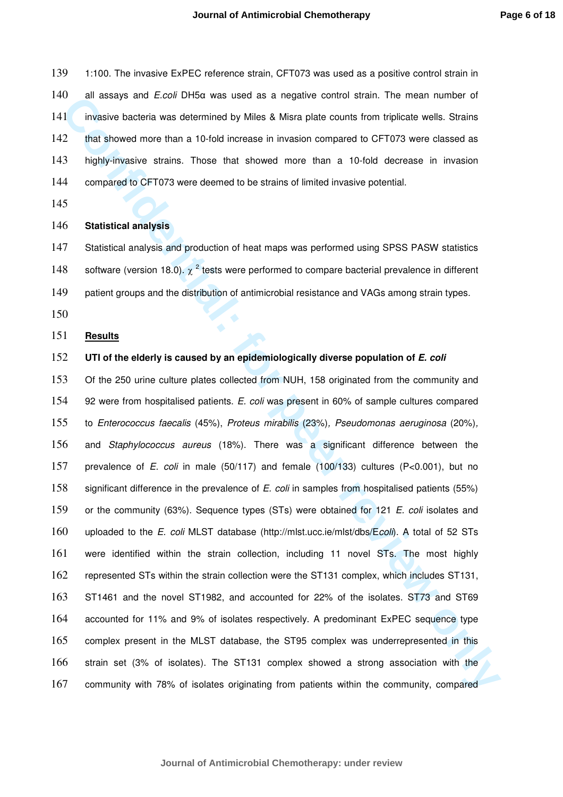1:100. The invasive ExPEC reference strain, CFT073 was used as a positive control strain in 140 all assays and *E.coli* DH5 $\alpha$  was used as a negative control strain. The mean number of invasive bacteria was determined by Miles & Misra plate counts from triplicate wells. Strains that showed more than a 10-fold increase in invasion compared to CFT073 were classed as highly-invasive strains. Those that showed more than a 10-fold decrease in invasion compared to CFT073 were deemed to be strains of limited invasive potential.

#### **Statistical analysis**

Statistical analysis and production of heat maps was performed using SPSS PASW statistics 148 software (version 18.0).  $\chi^2$  tests were performed to compare bacterial prevalence in different 149 patient groups and the distribution of antimicrobial resistance and VAGs among strain types.

### **Results**

## **UTI of the elderly is caused by an epidemiologically diverse population of E. coli**

19 all assiya and Excel Uniter Wast used as a registive control strain. In the main number or<br>
11 invisible backet more than a 10-fold increase in invision computer train. In the main number or<br>
21 throughly threation cont Of the 250 urine culture plates collected from NUH, 158 originated from the community and 154 92 were from hospitalised patients. E. coli was present in 60% of sample cultures compared to Enterococcus faecalis (45%), Proteus mirabilis (23%), Pseudomonas aeruginosa (20%), and Staphylococcus aureus (18%). There was a significant difference between the prevalence of E. coli in male (50/117) and female (100/133) cultures (P<0.001), but no 158 significant difference in the prevalence of E. coli in samples from hospitalised patients (55%) 159 or the community (63%). Sequence types (STs) were obtained for 121 E. coli isolates and uploaded to the E. coli MLST database (http://mlst.ucc.ie/mlst/dbs/Ecoli). A total of 52 STs were identified within the strain collection, including 11 novel STs. The most highly represented STs within the strain collection were the ST131 complex, which includes ST131, ST1461 and the novel ST1982, and accounted for 22% of the isolates. ST73 and ST69 accounted for 11% and 9% of isolates respectively. A predominant ExPEC sequence type complex present in the MLST database, the ST95 complex was underrepresented in this strain set (3% of isolates). The ST131 complex showed a strong association with the community with 78% of isolates originating from patients within the community, compared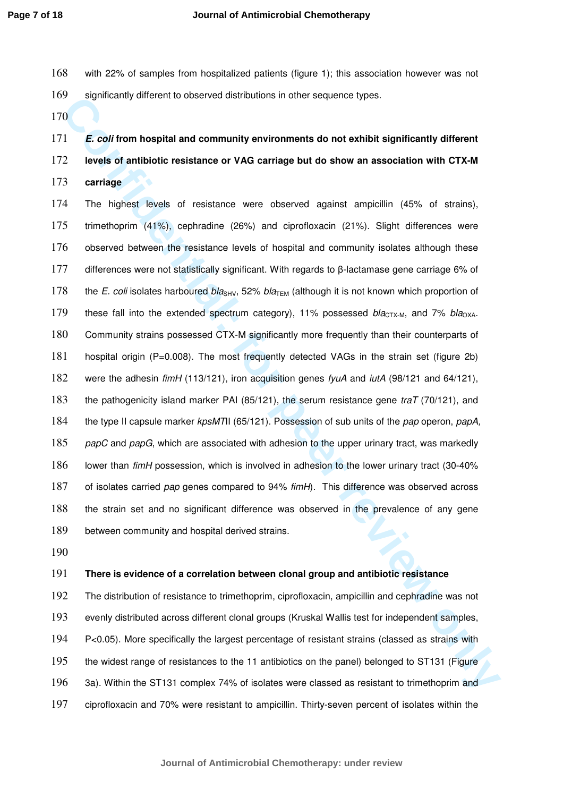- with 22% of samples from hospitalized patients (figure 1); this association however was not significantly different to observed distributions in other sequence types.
- 

**E. coli from hospital and community environments do not exhibit significantly different levels of antibiotic resistance or VAG carriage but do show an association with CTX-M carriage** 

**Confidential confidential confidential confidential confidential confidential confidential confidential confidential confidential confidential confidential confidential confidential confidential confidential confidential** The highest levels of resistance were observed against ampicillin (45% of strains), trimethoprim (41%), cephradine (26%) and ciprofloxacin (21%). Slight differences were observed between the resistance levels of hospital and community isolates although these differences were not statistically significant. With regards to β-lactamase gene carriage 6% of 178 the E. coli isolates harboured bla<sub>SHV</sub>, 52% bla<sub>TEM</sub> (although it is not known which proportion of 179 these fall into the extended spectrum category), 11% possessed  $bla_{\text{CTX-M}}$ , and 7% bla<sub>OXA</sub>. Community strains possessed CTX-M significantly more frequently than their counterparts of hospital origin (P=0.008). The most frequently detected VAGs in the strain set (figure 2b) 182 were the adhesin fimH (113/121), iron acquisition genes fyuA and *iutA* (98/121 and 64/121), 183 the pathogenicity island marker PAI (85/121), the serum resistance gene traT (70/121), and 184 the type II capsule marker kpsMTII (65/121). Possession of sub units of the pap operon, papA, 185 papC and papG, which are associated with adhesion to the upper urinary tract, was markedly lower than fimH possession, which is involved in adhesion to the lower urinary tract (30-40% 187 of isolates carried pap genes compared to 94% fimH). This difference was observed across the strain set and no significant difference was observed in the prevalence of any gene between community and hospital derived strains.

#### **There is evidence of a correlation between clonal group and antibiotic resistance**

The distribution of resistance to trimethoprim, ciprofloxacin, ampicillin and cephradine was not evenly distributed across different clonal groups (Kruskal Wallis test for independent samples, P<0.05). More specifically the largest percentage of resistant strains (classed as strains with the widest range of resistances to the 11 antibiotics on the panel) belonged to ST131 (Figure 3a). Within the ST131 complex 74% of isolates were classed as resistant to trimethoprim and ciprofloxacin and 70% were resistant to ampicillin. Thirty-seven percent of isolates within the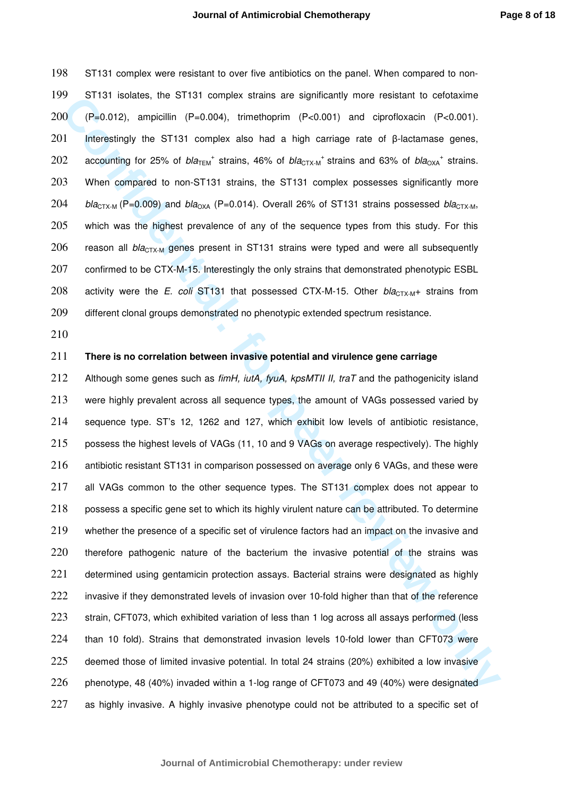198 ST131 complex were resistant to over five antibiotics on the panel. When compared to non-199 ST131 isolates, the ST131 complex strains are significantly more resistant to cefotaxime 200 (P=0.012), ampicillin (P=0.004), trimethoprim (P<0.001) and ciprofloxacin (P<0.001). 201 Interestingly the ST131 complex also had a high carriage rate of β-lactamase genes, 202 accounting for 25% of  $bla_{\text{TEM}}^+$  strains, 46% of  $bla_{\text{CTX-M}}^+$  strains and 63% of  $bla_{\text{OXA}}^+$  strains. 203 When compared to non-ST131 strains, the ST131 complex possesses significantly more 204 bla<sub>CTX-M</sub> (P=0.009) and bla<sub>OXA</sub> (P=0.014). Overall 26% of ST131 strains possessed bla<sub>CTX-M</sub>, 205 which was the highest prevalence of any of the sequence types from this study. For this 206 reason all  $bla_{CTX-M}$  genes present in ST131 strains were typed and were all subsequently 207 confirmed to be CTX-M-15. Interestingly the only strains that demonstrated phenotypic ESBL 208 activity were the E. coli ST131 that possessed CTX-M-15. Other  $bla_{CTX-M}$ + strains from 209 different clonal groups demonstrated no phenotypic extended spectrum resistance.

210

#### 211 **There is no correlation between invasive potential and virulence gene carriage**

**Confidential: In the Example Strates are a significantly more freshorm to exertain the state of peer review of**  $P = 0.004$ **), moreover the state of**  $P = 0.004$ **), therefore the state of**  $P = 0.004$ **). In the state of P = 0.004** 212 Although some genes such as  $f_{im}H$ ,  $i\mu A$ ,  $f_{\gamma}uA$ ,  $k\rho sMTII$  II,  $traT$  and the pathogenicity island 213 were highly prevalent across all sequence types, the amount of VAGs possessed varied by 214 sequence type. ST's 12, 1262 and 127, which exhibit low levels of antibiotic resistance, 215 possess the highest levels of VAGs (11, 10 and 9 VAGs on average respectively). The highly 216 antibiotic resistant ST131 in comparison possessed on average only 6 VAGs, and these were 217 all VAGs common to the other sequence types. The ST131 complex does not appear to 218 possess a specific gene set to which its highly virulent nature can be attributed. To determine 219 whether the presence of a specific set of virulence factors had an impact on the invasive and 220 therefore pathogenic nature of the bacterium the invasive potential of the strains was 221 determined using gentamicin protection assays. Bacterial strains were designated as highly 222 invasive if they demonstrated levels of invasion over 10-fold higher than that of the reference 223 strain, CFT073, which exhibited variation of less than 1 log across all assays performed (less 224 than 10 fold). Strains that demonstrated invasion levels 10-fold lower than CFT073 were 225 deemed those of limited invasive potential. In total 24 strains (20%) exhibited a low invasive 226 phenotype, 48 (40%) invaded within a 1-log range of CFT073 and 49 (40%) were designated 227 as highly invasive. A highly invasive phenotype could not be attributed to a specific set of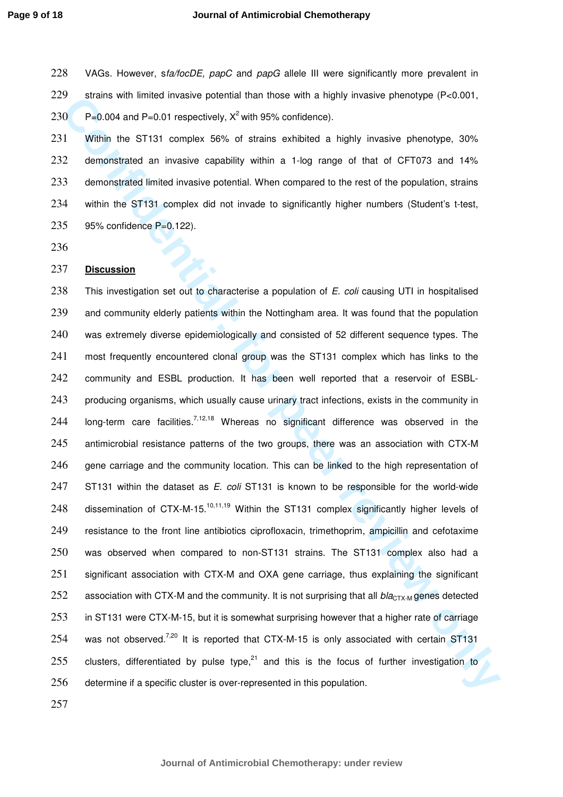#### **Journal of Antimicrobial Chemotherapy**

228 VAGs. However, sfa/focDE, papC and papG allele III were significantly more prevalent in 229 strains with limited invasive potential than those with a highly invasive phenotype (P<0.001, 230 P=0.004 and P=0.01 respectively,  $X^2$  with 95% confidence).

Within the ST131 complex 56% of strains exhibited a highly invasive phenotype, 30% demonstrated an invasive capability within a 1-log range of that of CFT073 and 14% demonstrated limited invasive potential. When compared to the rest of the population, strains 234 within the ST131 complex did not invade to significantly higher numbers (Student's t-test, 95% confidence P=0.122).

236

## 237 **Discussion**

**Confidential: Confidential man mode with a mply invasive phenotype (F-2000)**<br> **Co C**  $P=0.004$  and  $P=0.01$  respectively,  $x^2$  with 85% confidence).<br> **Confidential mode in the Confidential man mode with a 1-log rang** 238 This investigation set out to characterise a population of E. coli causing UTI in hospitalised 239 and community elderly patients within the Nottingham area. It was found that the population 240 was extremely diverse epidemiologically and consisted of 52 different sequence types. The 241 most frequently encountered clonal group was the ST131 complex which has links to the 242 community and ESBL production. It has been well reported that a reservoir of ESBL-243 producing organisms, which usually cause urinary tract infections, exists in the community in 244 Iong-term care facilities.<sup>7,12,18</sup> Whereas no significant difference was observed in the 245 antimicrobial resistance patterns of the two groups, there was an association with CTX-M 246 gene carriage and the community location. This can be linked to the high representation of 247 ST131 within the dataset as E. coli ST131 is known to be responsible for the world-wide 248 dissemination of CTX-M-15.<sup>10,11,19</sup> Within the ST131 complex significantly higher levels of 249 resistance to the front line antibiotics ciprofloxacin, trimethoprim, ampicillin and cefotaxime 250 was observed when compared to non-ST131 strains. The ST131 complex also had a 251 significant association with CTX-M and OXA gene carriage, thus explaining the significant 252 association with CTX-M and the community. It is not surprising that all  $bla_{\text{CTX-M}}$  genes detected 253 in ST131 were CTX-M-15, but it is somewhat surprising however that a higher rate of carriage 254 was not observed.<sup>7,20</sup> It is reported that CTX-M-15 is only associated with certain ST131 255 clusters, differentiated by pulse type, $^{21}$  and this is the focus of further investigation to 256 determine if a specific cluster is over-represented in this population.

257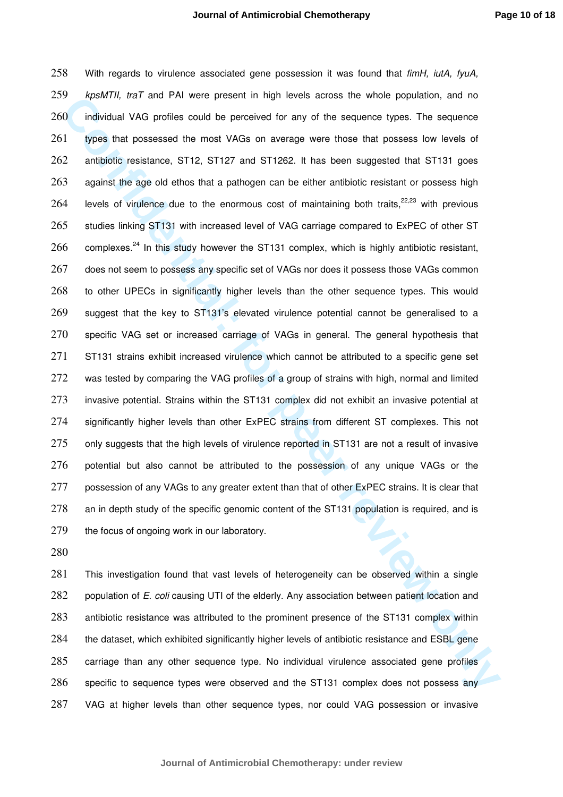or per river and the real wave persent in may levest a contain the state who propariton, and not explore the period of the matter in the square and when a model of the matter in the square of the square of the square of th 258 With regards to virulence associated gene possession it was found that fimH, iutA, fyuA, 259 kpsMTII, traT and PAI were present in high levels across the whole population, and no 260 individual VAG profiles could be perceived for any of the sequence types. The sequence 261 types that possessed the most VAGs on average were those that possess low levels of 262 antibiotic resistance, ST12, ST127 and ST1262. It has been suggested that ST131 goes 263 against the age old ethos that a pathogen can be either antibiotic resistant or possess high 264 levels of virulence due to the enormous cost of maintaining both traits,  $22,23$  with previous 265 studies linking ST131 with increased level of VAG carriage compared to ExPEC of other ST  $266$  complexes.<sup>24</sup> In this study however the ST131 complex, which is highly antibiotic resistant, 267 does not seem to possess any specific set of VAGs nor does it possess those VAGs common 268 to other UPECs in significantly higher levels than the other sequence types. This would 269 suggest that the key to ST131's elevated virulence potential cannot be generalised to a 270 specific VAG set or increased carriage of VAGs in general. The general hypothesis that 271 ST131 strains exhibit increased virulence which cannot be attributed to a specific gene set 272 was tested by comparing the VAG profiles of a group of strains with high, normal and limited 273 invasive potential. Strains within the ST131 complex did not exhibit an invasive potential at 274 significantly higher levels than other ExPEC strains from different ST complexes. This not 275 only suggests that the high levels of virulence reported in ST131 are not a result of invasive 276 potential but also cannot be attributed to the possession of any unique VAGs or the 277 possession of any VAGs to any greater extent than that of other ExPEC strains. It is clear that 278 an in depth study of the specific genomic content of the ST131 population is required, and is 279 the focus of ongoing work in our laboratory.

280

This investigation found that vast levels of heterogeneity can be observed within a single 282 population of E. coli causing UTI of the elderly. Any association between patient location and antibiotic resistance was attributed to the prominent presence of the ST131 complex within the dataset, which exhibited significantly higher levels of antibiotic resistance and ESBL gene carriage than any other sequence type. No individual virulence associated gene profiles specific to sequence types were observed and the ST131 complex does not possess any VAG at higher levels than other sequence types, nor could VAG possession or invasive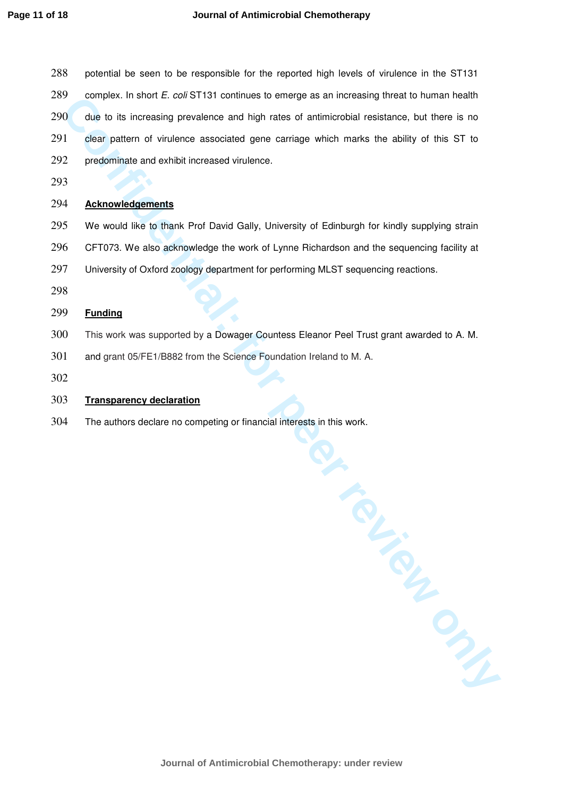- 288 potential be seen to be responsible for the reported high levels of virulence in the ST131
- complex. In short E. coli ST131 continues to emerge as an increasing threat to human health
- **Confidential:** For each state of the confident and the metric of the metric of the confident of the metric of the metric of the metric of the metric of the metric of the metric of the metric of the metric of the metric of due to its increasing prevalence and high rates of antimicrobial resistance, but there is no clear pattern of virulence associated gene carriage which marks the ability of this ST to
- predominate and exhibit increased virulence.
- 293

# 294 **Acknowledgements**

- We would like to thank Prof David Gally, University of Edinburgh for kindly supplying strain
- CFT073. We also acknowledge the work of Lynne Richardson and the sequencing facility at
- University of Oxford zoology department for performing MLST sequencing reactions.
- 298

# **Funding**

- This work was supported by a Dowager Countess Eleanor Peel Trust grant awarded to A. M.
- and grant 05/FE1/B882 from the Science Foundation Ireland to M. A.
- 302

## **Transparency declaration**

The authors declare no competing or financial interests in this work.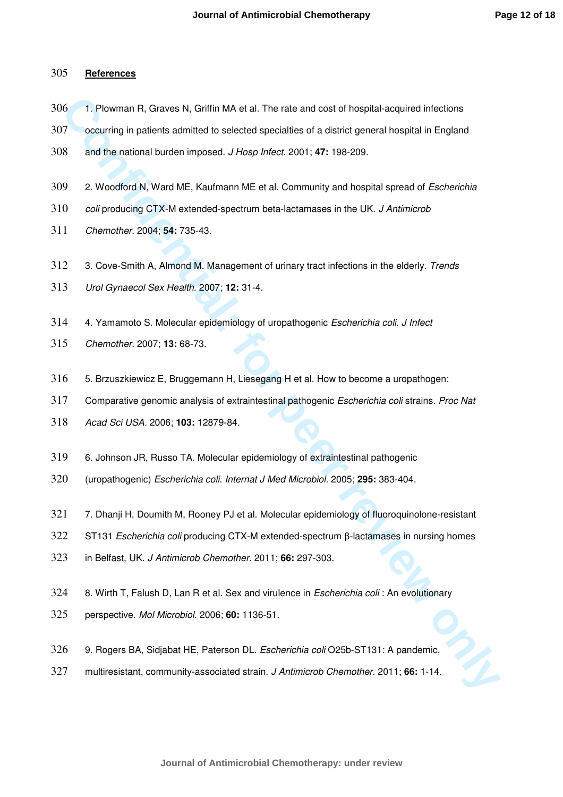## **References**

- 1. Plowman R, Graves N, Griffin MA et al. The rate and cost of hospital-acquired infections
- occurring in patients admitted to selected specialties of a district general hospital in England
- and the national burden imposed. J Hosp Infect. 2001; **47:** 198-209.
- 309 2. Woodford N, Ward ME, Kaufmann ME et al. Community and hospital spread of Escherichia
- 310 coli producing CTX-M extended-spectrum beta-lactamases in the UK. J Antimicrob
- Chemother. 2004; **54:** 735-43.
- 312 3. Cove-Smith A, Almond M. Management of urinary tract infections in the elderly. Trends
- Urol Gynaecol Sex Health. 2007; **12:** 31-4.
- 4. Yamamoto S. Molecular epidemiology of uropathogenic Escherichia coli. J Infect
- Chemother. 2007; **13:** 68-73.
- 5. Brzuszkiewicz E, Bruggemann H, Liesegang H et al. How to become a uropathogen:
- Comparative genomic analysis of extraintestinal pathogenic Escherichia coli strains. Proc Nat
- Acad Sci USA. 2006; **103:** 12879-84.
- 6. Johnson JR, Russo TA. Molecular epidemiology of extraintestinal pathogenic
- (uropathogenic) Escherichia coli. Internat J Med Microbiol. 2005; **295:** 383-404.
- 16 **Confidential** Content MA et al. The rate and cost of hospital-acquired infections<br>
17 occurring in patients admitted to selected specialities of a district general hospital in England<br>
18 and the national burden impose 321 7. Dhanji H, Doumith M, Rooney PJ et al. Molecular epidemiology of fluoroquinolone-resistant
- ST131 Escherichia coli producing CTX-M extended-spectrum β-lactamases in nursing homes
- in Belfast, UK. J Antimicrob Chemother. 2011; **66:** 297-303.
- 324 8. Wirth T, Falush D, Lan R et al. Sex and virulence in *Escherichia coli* : An evolutionary
- perspective. Mol Microbiol. 2006; **60:** 1136-51.
- 9. Rogers BA, Sidjabat HE, Paterson DL. Escherichia coli O25b-ST131: A pandemic,
- multiresistant, community-associated strain. J Antimicrob Chemother. 2011; **66:** 1-14.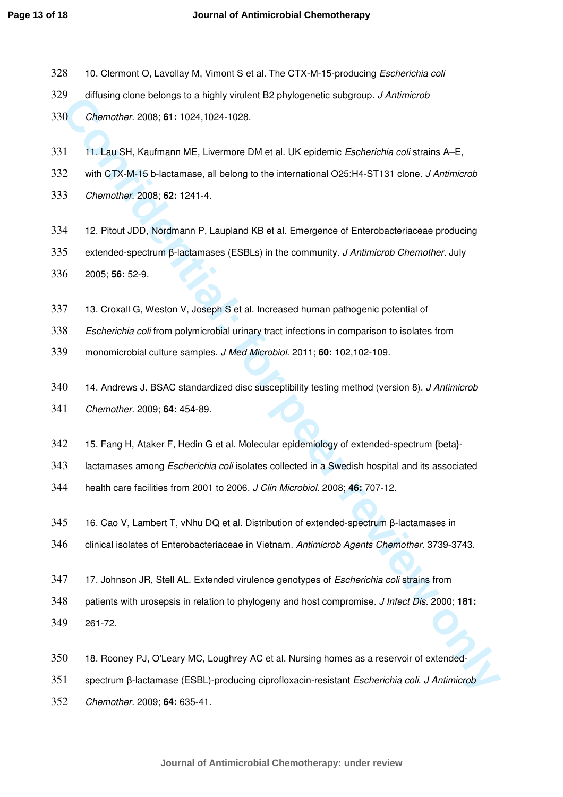- 328 10. Clermont O, Lavollay M, Vimont S et al. The CTX-M-15-producing Escherichia coli
- diffusing clone belongs to a highly virulent B2 phylogenetic subgroup. J Antimicrob
- Chemother. 2008; **61:** 1024,1024-1028.
- 331 11. Lau SH, Kaufmann ME, Livermore DM et al. UK epidemic Escherichia coli strains A–E,
- 332 with CTX-M-15 b-lactamase, all belong to the international O25:H4-ST131 clone. J Antimicrob
- Chemother. 2008; **62:** 1241-4.
- 12. Pitout JDD, Nordmann P, Laupland KB et al. Emergence of Enterobacteriaceae producing
- extended-spectrum β-lactamases (ESBLs) in the community. J Antimicrob Chemother. July 2005; **56:** 52-9.
- 13. Croxall G, Weston V, Joseph S et al. Increased human pathogenic potential of
- Escherichia coli from polymicrobial urinary tract infections in comparison to isolates from
- monomicrobial culture samples. J Med Microbiol. 2011; **60:** 102,102-109.
- **Consistent Bench Broadby Golf Starter School Starter School Starter Detection School Starter Detection Section<br>
20. Only more review only as a map of the starter of the starter of periodic Starter Mark Starter A-E,<br>
22. W** 340 14. Andrews J. BSAC standardized disc susceptibility testing method (version 8). J Antimicrob Chemother. 2009; **64:** 454-89.
- 
- 15. Fang H, Ataker F, Hedin G et al. Molecular epidemiology of extended-spectrum {beta}-
- 343 lactamases among Escherichia coli isolates collected in a Swedish hospital and its associated

health care facilities from 2001 to 2006. J Clin Microbiol. 2008; **46:** 707-12.

- 16. Cao V, Lambert T, vNhu DQ et al. Distribution of extended-spectrum β-lactamases in
- clinical isolates of Enterobacteriaceae in Vietnam. Antimicrob Agents Chemother. 3739-3743.
- 347 17. Johnson JR, Stell AL. Extended virulence genotypes of Escherichia coli strains from
- patients with urosepsis in relation to phylogeny and host compromise. J Infect Dis. 2000; **181:**
- 261-72.
- 18. Rooney PJ, O'Leary MC, Loughrey AC et al. Nursing homes as a reservoir of extended-
- spectrum β-lactamase (ESBL)-producing ciprofloxacin-resistant Escherichia coli. J Antimicrob
- Chemother. 2009; **64:** 635-41.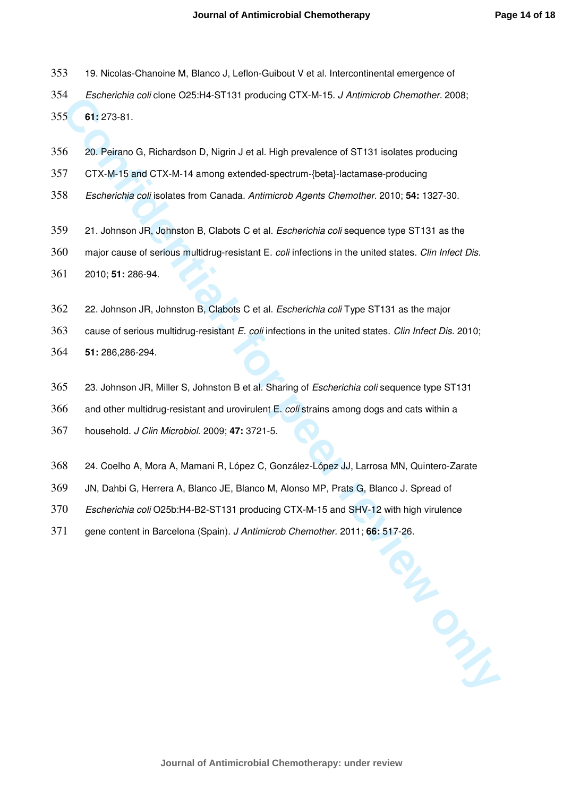- 19. Nicolas-Chanoine M, Blanco J, Leflon-Guibout V et al. Intercontinental emergence of
- Escherichia coli clone O25:H4-ST131 producing CTX-M-15. J Antimicrob Chemother. 2008;

**61:** 273-81.

- 20. Peirano G, Richardson D, Nigrin J et al. High prevalence of ST131 isolates producing
- CTX-M-15 and CTX-M-14 among extended-spectrum-{beta}-lactamase-producing
- Escherichia coli isolates from Canada. Antimicrob Agents Chemother. 2010; **54:** 1327-30.
- 359 21. Johnson JR, Johnston B, Clabots C et al. Escherichia coli sequence type ST131 as the
- 360 major cause of serious multidrug-resistant E. coli infections in the united states. Clin Infect Dis.
- 2010; **51:** 286-94.
- 22. Johnson JR, Johnston B, Clabots C et al. Escherichia coli Type ST131 as the major
- **Confidential:**<br> **Confidential: Confidential: Confidential: Confidential: Confidential: Confidential: Confidential: Confidential: Confidential: Confidential: Confidential: Confidential: Confidential** 363 cause of serious multidrug-resistant E. coli infections in the united states. Clin Infect Dis. 2010;
- **51:** 286,286-294.
- 23. Johnson JR, Miller S, Johnston B et al. Sharing of Escherichia coli sequence type ST131
- 366 and other multidrug-resistant and urovirulent E. coli strains among dogs and cats within a
- household. J Clin Microbiol. 2009; **47:** 3721-5.
- 24. Coelho A, Mora A, Mamani R, López C, González-López JJ, Larrosa MN, Quintero-Zarate
- JN, Dahbi G, Herrera A, Blanco JE, Blanco M, Alonso MP, Prats G, Blanco J. Spread of
- Escherichia coli O25b:H4-B2-ST131 producing CTX-M-15 and SHV-12 with high virulence
- gene content in Barcelona (Spain). J Antimicrob Chemother. 2011; **66:** 517-26.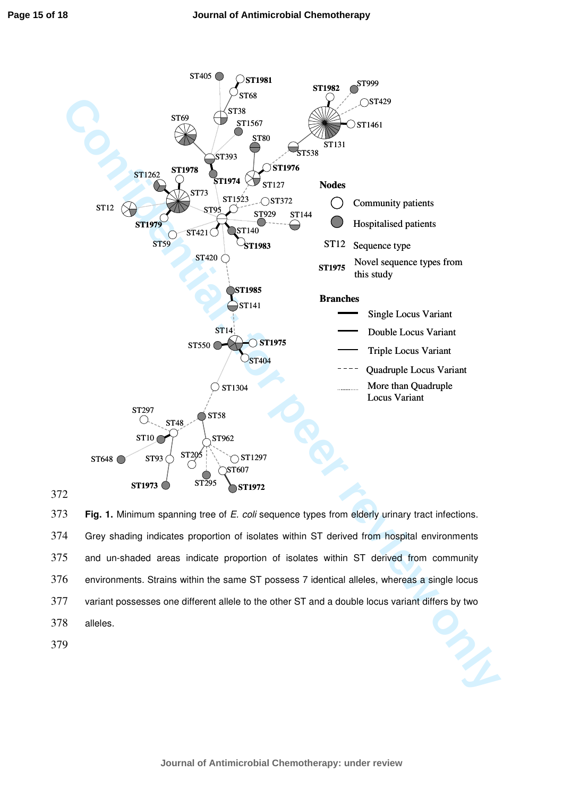

373 **Fig. 1.** Minimum spanning tree of E. coli sequence types from elderly urinary tract infections. 374 Grey shading indicates proportion of isolates within ST derived from hospital environments 375 and un-shaded areas indicate proportion of isolates within ST derived from community 376 environments. Strains within the same ST possess 7 identical alleles, whereas a single locus 377 variant possesses one different allele to the other ST and a double locus variant differs by two 378 alleles. 379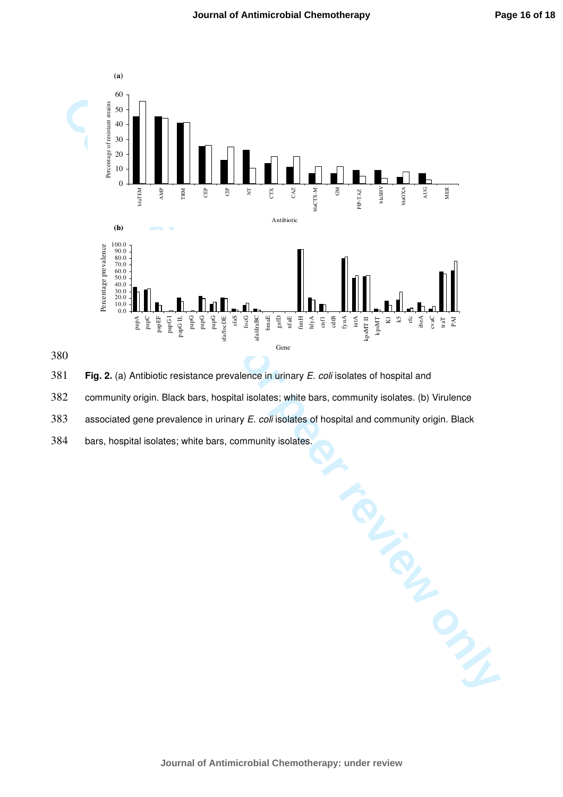

380

381 **Fig. 2.** (a) Antibiotic resistance prevalence in urinary E. coli isolates of hospital and

382 community origin. Black bars, hospital isolates; white bars, community isolates. (b) Virulence

383 associated gene prevalence in urinary E. coli isolates of hospital and community origin. Black

384 bars, hospital isolates; white bars, community isolates.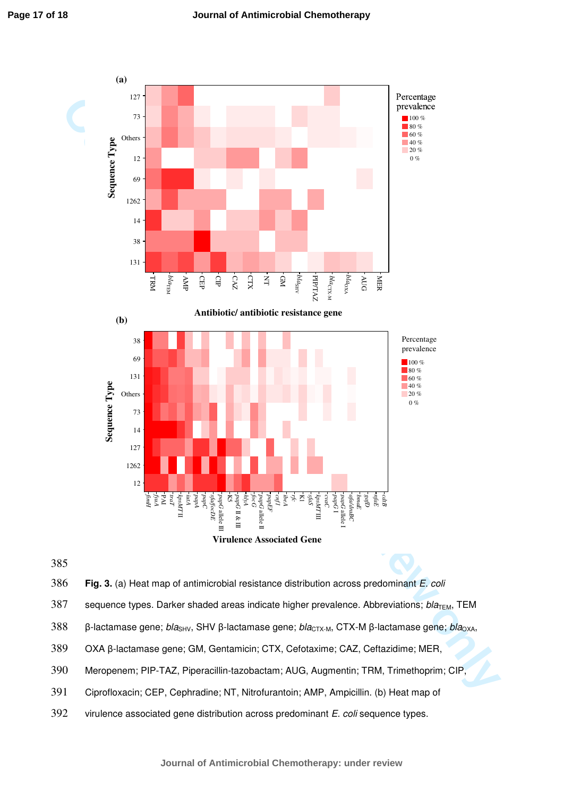



386 **Fig. 3.** (a) Heat map of antimicrobial resistance distribution across predominant E. coli

387 sequence types. Darker shaded areas indicate higher prevalence. Abbreviations;  $bla<sub>TEM</sub>$ , TEM

388 β-lactamase gene; bla<sub>SHV</sub>, SHV β-lactamase gene; bla<sub>CTX-M</sub>, CTX-M β-lactamase gene; bla<sub>OXA</sub>,

- 389 OXA β-lactamase gene; GM, Gentamicin; CTX, Cefotaxime; CAZ, Ceftazidime; MER,
- 390 Meropenem; PIP-TAZ, Piperacillin-tazobactam; AUG, Augmentin; TRM, Trimethoprim; CIP,
- 391 Ciprofloxacin; CEP, Cephradine; NT, Nitrofurantoin; AMP, Ampicillin. (b) Heat map of
- 392 virulence associated gene distribution across predominant E. coli sequence types.